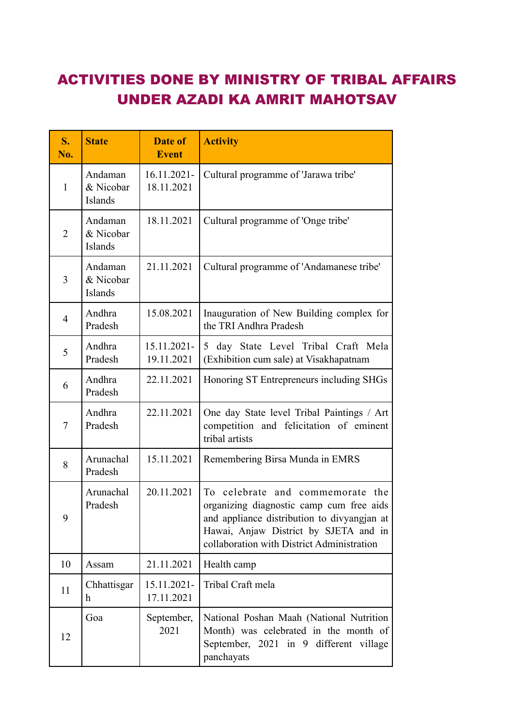## ACTIVITIES DONE BY MINISTRY OF TRIBAL AFFAIRS UNDER AZADI KA AMRIT MAHOTSAV

| S.<br>No.      | <b>State</b>                    | Date of<br><b>Event</b>   | <b>Activity</b>                                                                                                                                                                                                       |
|----------------|---------------------------------|---------------------------|-----------------------------------------------------------------------------------------------------------------------------------------------------------------------------------------------------------------------|
| $\mathbf{1}$   | Andaman<br>& Nicobar<br>Islands | 16.11.2021-<br>18.11.2021 | Cultural programme of 'Jarawa tribe'                                                                                                                                                                                  |
| $\overline{2}$ | Andaman<br>& Nicobar<br>Islands | 18.11.2021                | Cultural programme of 'Onge tribe'                                                                                                                                                                                    |
| $\overline{3}$ | Andaman<br>& Nicobar<br>Islands | 21.11.2021                | Cultural programme of 'Andamanese tribe'                                                                                                                                                                              |
| $\overline{4}$ | Andhra<br>Pradesh               | 15.08.2021                | Inauguration of New Building complex for<br>the TRI Andhra Pradesh                                                                                                                                                    |
| 5              | Andhra<br>Pradesh               | 15.11.2021-<br>19.11.2021 | 5 day State Level Tribal Craft Mela<br>(Exhibition cum sale) at Visakhapatnam                                                                                                                                         |
| 6              | Andhra<br>Pradesh               | 22.11.2021                | Honoring ST Entrepreneurs including SHGs                                                                                                                                                                              |
| $\tau$         | Andhra<br>Pradesh               | 22.11.2021                | One day State level Tribal Paintings / Art<br>competition and felicitation of eminent<br>tribal artists                                                                                                               |
| 8              | Arunachal<br>Pradesh            | 15.11.2021                | Remembering Birsa Munda in EMRS                                                                                                                                                                                       |
| 9              | Arunachal<br>Pradesh            | 20.11.2021                | To celebrate and commemorate<br>the<br>organizing diagnostic camp cum free aids<br>and appliance distribution to divyangjan at<br>Hawai, Anjaw District by SJETA and in<br>collaboration with District Administration |
| 10             | Assam                           | 21.11.2021                | Health camp                                                                                                                                                                                                           |
| 11             | Chhattisgar<br>h                | 15.11.2021-<br>17.11.2021 | Tribal Craft mela                                                                                                                                                                                                     |
| 12             | Goa                             | September,<br>2021        | National Poshan Maah (National Nutrition<br>Month) was celebrated in the month of<br>September, 2021 in 9 different village<br>panchayats                                                                             |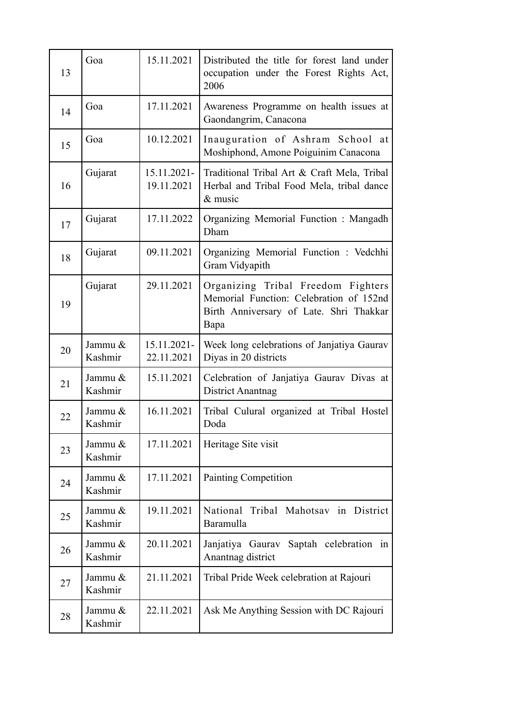| 13 | Goa                | 15.11.2021                   | Distributed the title for forest land under<br>occupation under the Forest Rights Act,<br>2006                                   |
|----|--------------------|------------------------------|----------------------------------------------------------------------------------------------------------------------------------|
| 14 | Goa                | 17.11.2021                   | Awareness Programme on health issues at<br>Gaondangrim, Canacona                                                                 |
| 15 | Goa                | 10.12.2021                   | Inauguration of Ashram School at<br>Moshiphond, Amone Poiguinim Canacona                                                         |
| 16 | Gujarat            | $15.11.2021 -$<br>19.11.2021 | Traditional Tribal Art & Craft Mela, Tribal<br>Herbal and Tribal Food Mela, tribal dance<br>$&$ music                            |
| 17 | Gujarat            | 17.11.2022                   | Organizing Memorial Function : Mangadh<br>Dham                                                                                   |
| 18 | Gujarat            | 09.11.2021                   | Organizing Memorial Function : Vedchhi<br>Gram Vidyapith                                                                         |
| 19 | Gujarat            | 29.11.2021                   | Organizing Tribal Freedom Fighters<br>Memorial Function: Celebration of 152nd<br>Birth Anniversary of Late. Shri Thakkar<br>Bapa |
| 20 | Jammu &<br>Kashmir | 15.11.2021-<br>22.11.2021    | Week long celebrations of Janjatiya Gaurav<br>Diyas in 20 districts                                                              |
| 21 | Jammu &<br>Kashmir | 15.11.2021                   | Celebration of Janjatiya Gaurav Divas at<br><b>District Anantnag</b>                                                             |
| 22 | Jammu &<br>Kashmir | 16.11.2021                   | Tribal Culural organized at Tribal Hostel<br>Doda                                                                                |
| 23 | Jammu &<br>Kashmir | 17.11.2021                   | Heritage Site visit                                                                                                              |
| 24 | Jammu &<br>Kashmir | 17.11.2021                   | <b>Painting Competition</b>                                                                                                      |
| 25 | Jammu &<br>Kashmir | 19.11.2021                   | National Tribal Mahotsav in District<br>Baramulla                                                                                |
| 26 | Jammu &<br>Kashmir | 20.11.2021                   | Janjatiya Gaurav<br>Saptah celebration in<br>Anantnag district                                                                   |
| 27 | Jammu &<br>Kashmir | 21.11.2021                   | Tribal Pride Week celebration at Rajouri                                                                                         |
| 28 | Jammu &<br>Kashmir | 22.11.2021                   | Ask Me Anything Session with DC Rajouri                                                                                          |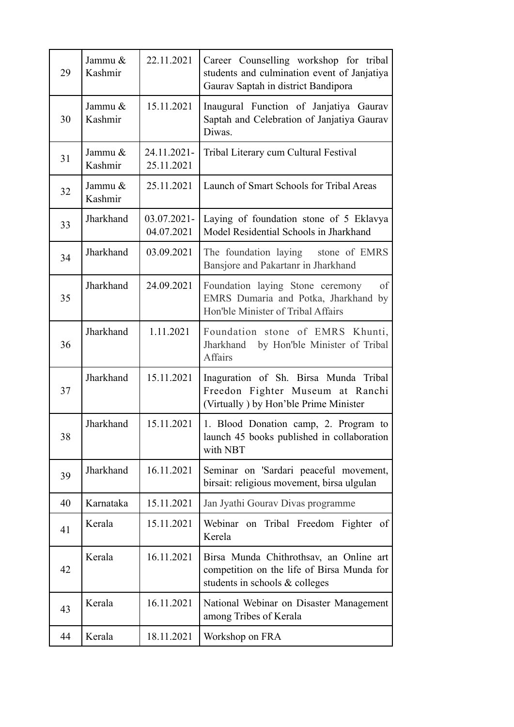| 29 | Jammu &<br>Kashmir | 22.11.2021                | Career Counselling workshop for tribal<br>students and culmination event of Janjatiya<br>Gaurav Saptah in district Bandipora |
|----|--------------------|---------------------------|------------------------------------------------------------------------------------------------------------------------------|
| 30 | Jammu &<br>Kashmir | 15.11.2021                | Inaugural Function of Janjatiya Gaurav<br>Saptah and Celebration of Janjatiya Gaurav<br>Diwas.                               |
| 31 | Jammu &<br>Kashmir | 24.11.2021-<br>25.11.2021 | Tribal Literary cum Cultural Festival                                                                                        |
| 32 | Jammu &<br>Kashmir | 25.11.2021                | Launch of Smart Schools for Tribal Areas                                                                                     |
| 33 | Jharkhand          | 03.07.2021-<br>04.07.2021 | Laying of foundation stone of 5 Eklavya<br>Model Residential Schools in Jharkhand                                            |
| 34 | Jharkhand          | 03.09.2021                | The foundation laying stone of EMRS<br>Bansjore and Pakartanr in Jharkhand                                                   |
| 35 | Jharkhand          | 24.09.2021                | Foundation laying Stone ceremony<br>of<br>EMRS Dumaria and Potka, Jharkhand by<br>Hon'ble Minister of Tribal Affairs         |
| 36 | Jharkhand          | 1.11.2021                 | Foundation stone of EMRS Khunti,<br>Jharkhand by Hon'ble Minister of Tribal<br><b>Affairs</b>                                |
| 37 | Jharkhand          | 15.11.2021                | Inaguration of Sh. Birsa Munda Tribal<br>Freedon Fighter Museum at Ranchi<br>(Virtually) by Hon'ble Prime Minister           |
| 38 | Jharkhand          | 15.11.2021                | 1. Blood Donation camp, 2. Program to<br>launch 45 books published in collaboration<br>with NBT                              |
| 39 | Jharkhand          | 16.11.2021                | Seminar on 'Sardari peaceful movement,<br>birsait: religious movement, birsa ulgulan                                         |
| 40 | Karnataka          | 15.11.2021                | Jan Jyathi Gourav Divas programme                                                                                            |
| 41 | Kerala             | 15.11.2021                | Webinar on Tribal Freedom Fighter of<br>Kerela                                                                               |
| 42 | Kerala             | 16.11.2021                | Birsa Munda Chithrothsav, an Online art<br>competition on the life of Birsa Munda for<br>students in schools & colleges      |
| 43 | Kerala             | 16.11.2021                | National Webinar on Disaster Management<br>among Tribes of Kerala                                                            |
| 44 | Kerala             | 18.11.2021                | Workshop on FRA                                                                                                              |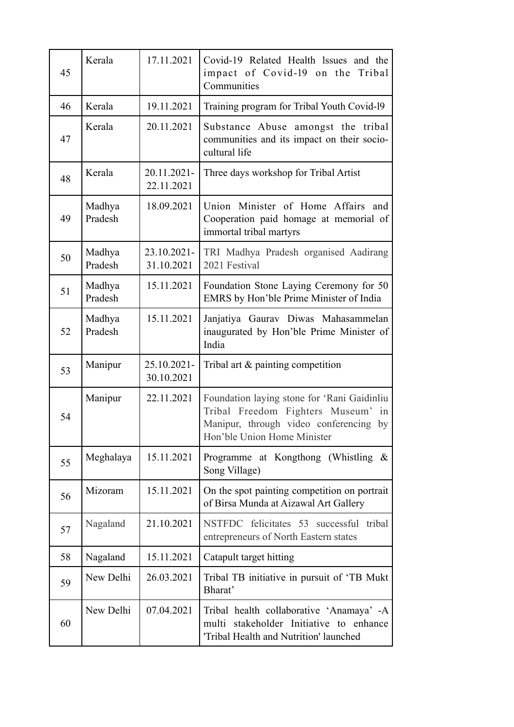| 45 | Kerala            | 17.11.2021                | Covid-19 Related Health Issues and the<br>impact of Covid-19 on the Tribal<br>Communities                                                                  |
|----|-------------------|---------------------------|------------------------------------------------------------------------------------------------------------------------------------------------------------|
| 46 | Kerala            | 19.11.2021                | Training program for Tribal Youth Covid-19                                                                                                                 |
| 47 | Kerala            | 20.11.2021                | Substance Abuse amongst the tribal<br>communities and its impact on their socio-<br>cultural life                                                          |
| 48 | Kerala            | 20.11.2021-<br>22.11.2021 | Three days workshop for Tribal Artist                                                                                                                      |
| 49 | Madhya<br>Pradesh | 18.09.2021                | Union Minister of Home Affairs and<br>Cooperation paid homage at memorial of<br>immortal tribal martyrs                                                    |
| 50 | Madhya<br>Pradesh | 23.10.2021-<br>31.10.2021 | TRI Madhya Pradesh organised Aadirang<br>2021 Festival                                                                                                     |
| 51 | Madhya<br>Pradesh | 15.11.2021                | Foundation Stone Laying Ceremony for 50<br>EMRS by Hon'ble Prime Minister of India                                                                         |
| 52 | Madhya<br>Pradesh | 15.11.2021                | Janjatiya Gaurav Diwas Mahasammelan<br>inaugurated by Hon'ble Prime Minister of<br>India                                                                   |
| 53 | Manipur           | 25.10.2021-<br>30.10.2021 | Tribal art $\&$ painting competition                                                                                                                       |
| 54 | Manipur           | 22.11.2021                | Foundation laying stone for 'Rani Gaidinliu<br>Tribal Freedom Fighters Museum' in<br>Manipur, through video conferencing by<br>Hon'ble Union Home Minister |
| 55 | Meghalaya         | 15.11.2021                | Programme at Kongthong (Whistling &<br>Song Village)                                                                                                       |
| 56 | Mizoram           | 15.11.2021                | On the spot painting competition on portrait<br>of Birsa Munda at Aizawal Art Gallery                                                                      |
| 57 | Nagaland          | 21.10.2021                | NSTFDC felicitates 53 successful tribal<br>entrepreneurs of North Eastern states                                                                           |
| 58 | Nagaland          | 15.11.2021                | Catapult target hitting                                                                                                                                    |
| 59 | New Delhi         | 26.03.2021                | Tribal TB initiative in pursuit of 'TB Mukt<br>Bharat'                                                                                                     |
| 60 | New Delhi         | 07.04.2021                | Tribal health collaborative 'Anamaya' -A<br>multi stakeholder Initiative to enhance<br>'Tribal Health and Nutrition' launched                              |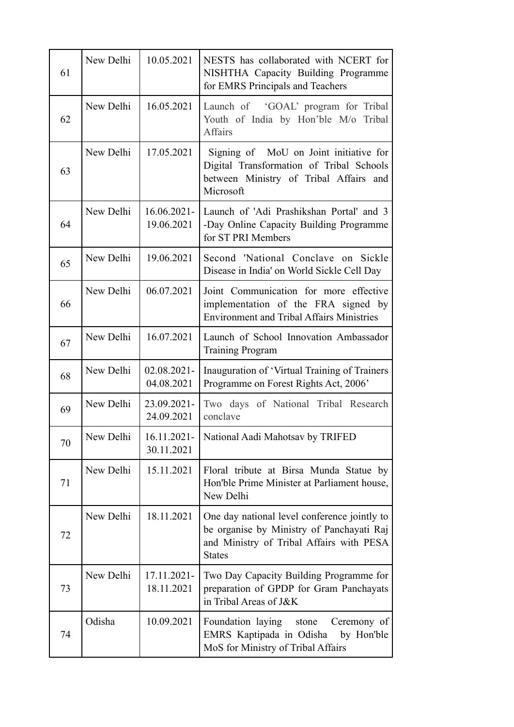| 61 | New Delhi | 10.05.2021                   | NESTS has collaborated with NCERT for<br>NISHTHA Capacity Building Programme<br>for EMRS Principals and Teachers                                       |
|----|-----------|------------------------------|--------------------------------------------------------------------------------------------------------------------------------------------------------|
| 62 | New Delhi | 16.05.2021                   | Launch of 'GOAL' program for Tribal<br>Youth of India by Hon'ble M/o Tribal<br><b>Affairs</b>                                                          |
| 63 | New Delhi | 17.05.2021                   | Signing of MoU on Joint initiative for<br>Digital Transformation of Tribal Schools<br>between Ministry of Tribal Affairs and<br>Microsoft              |
| 64 | New Delhi | $16.06.2021 -$<br>19.06.2021 | Launch of 'Adi Prashikshan Portal' and 3<br>-Day Online Capacity Building Programme<br>for ST PRI Members                                              |
| 65 | New Delhi | 19.06.2021                   | Second 'National Conclave on Sickle<br>Disease in India' on World Sickle Cell Day                                                                      |
| 66 | New Delhi | 06.07.2021                   | Joint Communication for more effective<br>implementation of the FRA signed by<br><b>Environment and Tribal Affairs Ministries</b>                      |
| 67 | New Delhi | 16.07.2021                   | Launch of School Innovation Ambassador<br><b>Training Program</b>                                                                                      |
| 68 | New Delhi | $02.08.2021 -$<br>04.08.2021 | Inauguration of 'Virtual Training of Trainers<br>Programme on Forest Rights Act, 2006'                                                                 |
| 69 | New Delhi | 23.09.2021-<br>24.09.2021    | Two days of National Tribal Research<br>conclave                                                                                                       |
| 70 | New Delhi | 16.11.2021-<br>30.11.2021    | National Aadi Mahotsav by TRIFED                                                                                                                       |
| 71 | New Delhi | 15.11.2021                   | Floral tribute at Birsa Munda Statue by<br>Hon'ble Prime Minister at Parliament house,<br>New Delhi                                                    |
| 72 | New Delhi | 18.11.2021                   | One day national level conference jointly to<br>be organise by Ministry of Panchayati Raj<br>and Ministry of Tribal Affairs with PESA<br><b>States</b> |
| 73 | New Delhi | 17.11.2021-<br>18.11.2021    | Two Day Capacity Building Programme for<br>preparation of GPDP for Gram Panchayats<br>in Tribal Areas of J&K                                           |
| 74 | Odisha    | 10.09.2021                   | Foundation laying<br>stone<br>Ceremony of<br>EMRS Kaptipada in Odisha<br>by Hon'ble<br>MoS for Ministry of Tribal Affairs                              |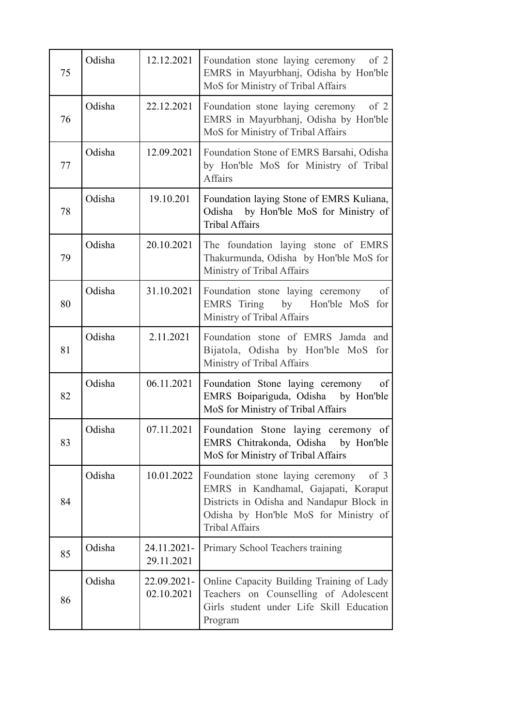| 75 | Odisha | 12.12.2021                | Foundation stone laying ceremony<br>of 2<br>EMRS in Mayurbhanj, Odisha by Hon'ble<br>MoS for Ministry of Tribal Affairs                                                                           |
|----|--------|---------------------------|---------------------------------------------------------------------------------------------------------------------------------------------------------------------------------------------------|
| 76 | Odisha | 22.12.2021                | Foundation stone laying ceremony<br>of $2$<br>EMRS in Mayurbhanj, Odisha by Hon'ble<br>MoS for Ministry of Tribal Affairs                                                                         |
| 77 | Odisha | 12.09.2021                | Foundation Stone of EMRS Barsahi, Odisha<br>by Hon'ble MoS for Ministry of Tribal<br><b>Affairs</b>                                                                                               |
| 78 | Odisha | 19.10.201                 | Foundation laying Stone of EMRS Kuliana,<br>Odisha<br>by Hon'ble MoS for Ministry of<br><b>Tribal Affairs</b>                                                                                     |
| 79 | Odisha | 20.10.2021                | The foundation laying stone of EMRS<br>Thakurmunda, Odisha by Hon'ble MoS for<br>Ministry of Tribal Affairs                                                                                       |
| 80 | Odisha | 31.10.2021                | Foundation stone laying ceremony<br>of<br>EMRS Tiring by Hon'ble MoS for<br>Ministry of Tribal Affairs                                                                                            |
| 81 | Odisha | 2.11.2021                 | Foundation stone of EMRS Jamda and<br>Bijatola, Odisha by Hon'ble MoS for<br>Ministry of Tribal Affairs                                                                                           |
| 82 | Odisha | 06.11.2021                | Foundation Stone laying ceremony<br>of<br>EMRS Boipariguda, Odisha<br>by Hon'ble<br>MoS for Ministry of Tribal Affairs                                                                            |
| 83 | Odisha | 07.11.2021                | Foundation Stone laying ceremony<br>of<br>EMRS Chitrakonda, Odisha by Hon'ble<br>MoS for Ministry of Tribal Affairs                                                                               |
| 84 | Odisha | 10.01.2022                | Foundation stone laying ceremony<br>of $3$<br>EMRS in Kandhamal, Gajapati, Koraput<br>Districts in Odisha and Nandapur Block in<br>Odisha by Hon'ble MoS for Ministry of<br><b>Tribal Affairs</b> |
| 85 | Odisha | 24.11.2021-<br>29.11.2021 | Primary School Teachers training                                                                                                                                                                  |
| 86 | Odisha | 22.09.2021-<br>02.10.2021 | Online Capacity Building Training of Lady<br>Teachers on Counselling of Adolescent<br>Girls student under Life Skill Education<br>Program                                                         |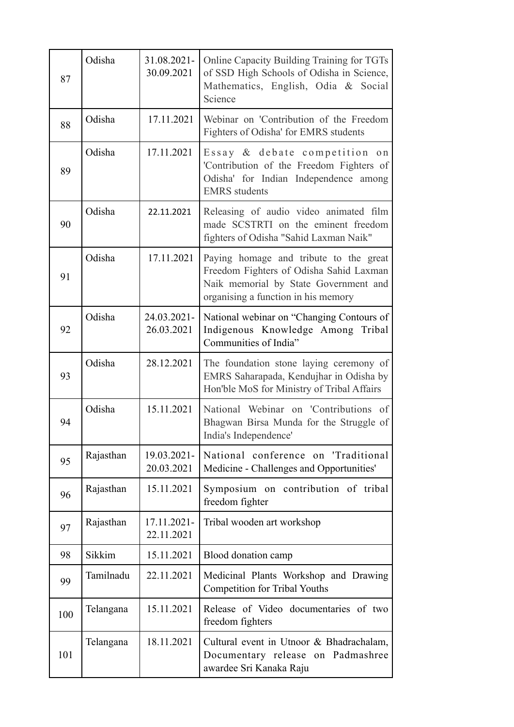| 87  | Odisha    | 31.08.2021-<br>30.09.2021 | Online Capacity Building Training for TGTs<br>of SSD High Schools of Odisha in Science,<br>Mathematics, English, Odia & Social<br>Science                         |
|-----|-----------|---------------------------|-------------------------------------------------------------------------------------------------------------------------------------------------------------------|
| 88  | Odisha    | 17.11.2021                | Webinar on 'Contribution of the Freedom<br>Fighters of Odisha' for EMRS students                                                                                  |
| 89  | Odisha    | 17.11.2021                | Essay & debate competition on<br>'Contribution of the Freedom Fighters of<br>Odisha' for Indian Independence among<br><b>EMRS</b> students                        |
| 90  | Odisha    | 22.11.2021                | Releasing of audio video animated film<br>made SCSTRTI on the eminent freedom<br>fighters of Odisha "Sahid Laxman Naik"                                           |
| 91  | Odisha    | 17.11.2021                | Paying homage and tribute to the great<br>Freedom Fighters of Odisha Sahid Laxman<br>Naik memorial by State Government and<br>organising a function in his memory |
| 92  | Odisha    | 24.03.2021-<br>26.03.2021 | National webinar on "Changing Contours of<br>Indigenous Knowledge Among Tribal<br>Communities of India"                                                           |
| 93  | Odisha    | 28.12.2021                | The foundation stone laying ceremony of<br>EMRS Saharapada, Kendujhar in Odisha by<br>Hon'ble MoS for Ministry of Tribal Affairs                                  |
| 94  | Odisha    | 15.11.2021                | National Webinar on 'Contributions of<br>Bhagwan Birsa Munda for the Struggle of<br>India's Independence'                                                         |
| 95  | Rajasthan | 19.03.2021-<br>20.03.2021 | National conference on 'Traditional<br>Medicine - Challenges and Opportunities'                                                                                   |
| 96  | Rajasthan | 15.11.2021                | Symposium on contribution of tribal<br>freedom fighter                                                                                                            |
| 97  | Rajasthan | 17.11.2021-<br>22.11.2021 | Tribal wooden art workshop                                                                                                                                        |
| 98  | Sikkim    | 15.11.2021                | Blood donation camp                                                                                                                                               |
| 99  | Tamilnadu | 22.11.2021                | Medicinal Plants Workshop and Drawing<br><b>Competition for Tribal Youths</b>                                                                                     |
| 100 | Telangana | 15.11.2021                | Release of Video documentaries of two<br>freedom fighters                                                                                                         |
| 101 | Telangana | 18.11.2021                | Cultural event in Utnoor & Bhadrachalam,<br>Documentary release on Padmashree<br>awardee Sri Kanaka Raju                                                          |